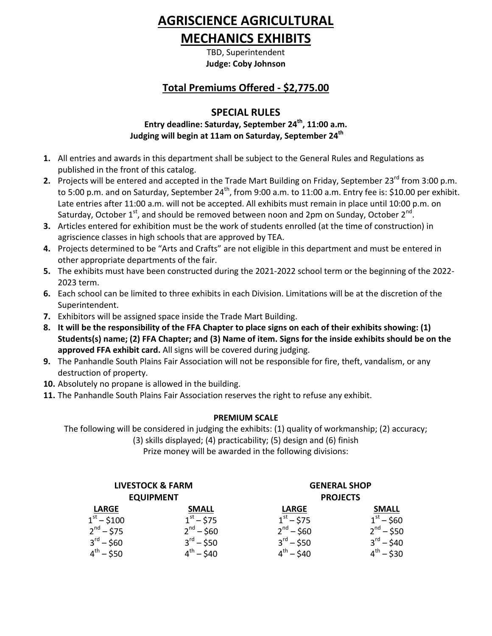# **AGRISCIENCE AGRICULTURAL**

# **MECHANICS EXHIBITS**

TBD, Superintendent **Judge: Coby Johnson**

# **Total Premiums Offered - \$2,775.00**

## **SPECIAL RULES**

### **Entry deadline: Saturday, September 24 th , 11:00 a.m. Judging will begin at 11am on Saturday, September 24 th**

- **1.** All entries and awards in this department shall be subject to the General Rules and Regulations as published in the front of this catalog.
- **2.** Projects will be entered and accepted in the Trade Mart Building on Friday, September 23<sup>rd</sup> from 3:00 p.m. to 5:00 p.m. and on Saturday, September 24<sup>th</sup>, from 9:00 a.m. to 11:00 a.m. Entry fee is: \$10.00 per exhibit. Late entries after 11:00 a.m. will not be accepted. All exhibits must remain in place until 10:00 p.m. on Saturday, October 1<sup>st</sup>, and should be removed between noon and 2pm on Sunday, October 2<sup>nd</sup>.
- **3.** Articles entered for exhibition must be the work of students enrolled (at the time of construction) in agriscience classes in high schools that are approved by TEA.
- **4.** Projects determined to be "Arts and Crafts" are not eligible in this department and must be entered in other appropriate departments of the fair.
- **5.** The exhibits must have been constructed during the 2021-2022 school term or the beginning of the 2022- 2023 term.
- **6.** Each school can be limited to three exhibits in each Division. Limitations will be at the discretion of the Superintendent.
- **7.** Exhibitors will be assigned space inside the Trade Mart Building.
- **8. It will be the responsibility of the FFA Chapter to place signs on each of their exhibits showing: (1) Students(s) name; (2) FFA Chapter; and (3) Name of item. Signs for the inside exhibits should be on the approved FFA exhibit card.** All signs will be covered during judging.
- **9.** The Panhandle South Plains Fair Association will not be responsible for fire, theft, vandalism, or any destruction of property.
- **10.** Absolutely no propane is allowed in the building.
- **11.** The Panhandle South Plains Fair Association reserves the right to refuse any exhibit.

### **PREMIUM SCALE**

The following will be considered in judging the exhibits: (1) quality of workmanship; (2) accuracy;

(3) skills displayed; (4) practicability; (5) design and (6) finish

Prize money will be awarded in the following divisions:

| <b>LIVESTOCK &amp; FARM</b><br><b>EQUIPMENT</b> |                       | <b>GENERAL SHOP</b><br><b>PROJECTS</b> |                       |
|-------------------------------------------------|-----------------------|----------------------------------------|-----------------------|
| <b>LARGE</b>                                    | <b>SMALL</b>          | <b>LARGE</b>                           | <b>SMALL</b>          |
| $1st - $100$                                    | $1^{st} - $75$        | $1^{st} - $75$                         | $1^{st} - $60$        |
| $2^{nd} - 575$                                  | $2^{nd} - $60$        | $2^{nd} - $60$                         | $2^{nd} - 550$        |
| $3^{\text{rd}} - $60$                           | $3^{\text{rd}} - 550$ | $3^{\text{rd}} - $50$                  | $3^{\text{rd}} - $40$ |
| $4^{th} - $50$                                  | $4^{th} - 540$        | $4^{th} - 540$                         | $4^{th} - $30$        |